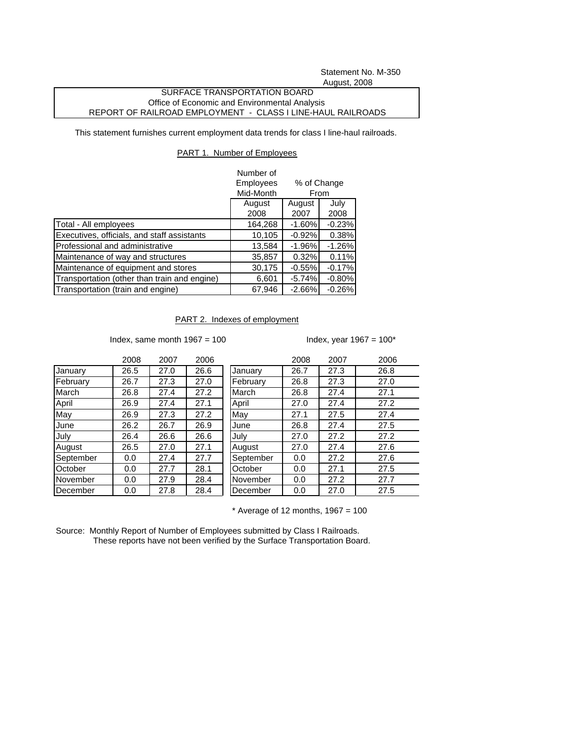Statement No. M-350 August, 2008

## SURFACE TRANSPORTATION BOARD Office of Economic and Environmental Analysis REPORT OF RAILROAD EMPLOYMENT - CLASS I LINE-HAUL RAILROADS

This statement furnishes current employment data trends for class I line-haul railroads.

## PART 1. Number of Employees

|                                              | Number of<br>Employees<br>% of Change<br>Mid-Month<br>From |                |              |
|----------------------------------------------|------------------------------------------------------------|----------------|--------------|
|                                              | August<br>2008                                             | August<br>2007 | July<br>2008 |
| Total - All employees                        | 164,268                                                    | $-1.60%$       | $-0.23%$     |
| Executives, officials, and staff assistants  | 10,105                                                     | $-0.92%$       | 0.38%        |
| Professional and administrative              | 13,584                                                     | $-1.96%$       | $-1.26%$     |
| Maintenance of way and structures            | 35,857                                                     | 0.32%          | 0.11%        |
| Maintenance of equipment and stores          | 30,175                                                     | $-0.55%$       | $-0.17%$     |
| Transportation (other than train and engine) | 6,601                                                      | $-5.74%$       | $-0.80%$     |
| Transportation (train and engine)            | 67,946                                                     | $-2.66%$       | $-0.26%$     |

PART 2. Indexes of employment

Index, same month  $1967 = 100$  Index, year  $1967 = 100^*$ 

|           | 2008 | 2007 | 2006 |           | 2008 | 2007 | 2006 |
|-----------|------|------|------|-----------|------|------|------|
| January   | 26.5 | 27.0 | 26.6 | January   | 26.7 | 27.3 | 26.8 |
| February  | 26.7 | 27.3 | 27.0 | February  | 26.8 | 27.3 | 27.0 |
| March     | 26.8 | 27.4 | 27.2 | March     | 26.8 | 27.4 | 27.1 |
| April     | 26.9 | 27.4 | 27.1 | April     | 27.0 | 27.4 | 27.2 |
| May       | 26.9 | 27.3 | 27.2 | May       | 27.1 | 27.5 | 27.4 |
| June      | 26.2 | 26.7 | 26.9 | June      | 26.8 | 27.4 | 27.5 |
| July      | 26.4 | 26.6 | 26.6 | July      | 27.0 | 27.2 | 27.2 |
| August    | 26.5 | 27.0 | 27.1 | August    | 27.0 | 27.4 | 27.6 |
| September | 0.0  | 27.4 | 27.7 | September | 0.0  | 27.2 | 27.6 |
| October   | 0.0  | 27.7 | 28.1 | October   | 0.0  | 27.1 | 27.5 |
| November  | 0.0  | 27.9 | 28.4 | November  | 0.0  | 27.2 | 27.7 |
| December  | 0.0  | 27.8 | 28.4 | December  | 0.0  | 27.0 | 27.5 |

 $*$  Average of 12 months, 1967 = 100

Source: Monthly Report of Number of Employees submitted by Class I Railroads. These reports have not been verified by the Surface Transportation Board.